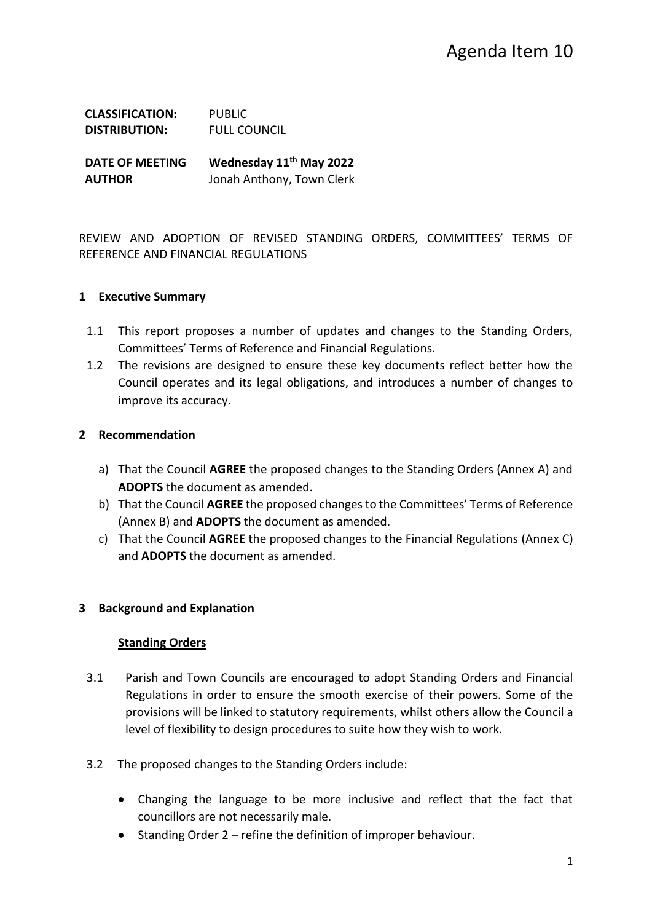| <b>CLASSIFICATION:</b> | <b>PUBLIC</b>       |
|------------------------|---------------------|
| <b>DISTRIBUTION:</b>   | <b>FULL COUNCIL</b> |
|                        |                     |

**DATE OF MEETING Wednesday 11th May 2022 AUTHOR** Jonah Anthony, Town Clerk

REVIEW AND ADOPTION OF REVISED STANDING ORDERS, COMMITTEES' TERMS OF REFERENCE AND FINANCIAL REGULATIONS

#### **1 Executive Summary**

- 1.1 This report proposes a number of updates and changes to the Standing Orders, Committees' Terms of Reference and Financial Regulations.
- 1.2 The revisions are designed to ensure these key documents reflect better how the Council operates and its legal obligations, and introduces a number of changes to improve its accuracy.

#### **2 Recommendation**

- a) That the Council **AGREE** the proposed changes to the Standing Orders (Annex A) and **ADOPTS** the document as amended.
- b) That the Council **AGREE** the proposed changes to the Committees' Terms of Reference (Annex B) and **ADOPTS** the document as amended.
- c) That the Council **AGREE** the proposed changes to the Financial Regulations (Annex C) and **ADOPTS** the document as amended.

## **3 Background and Explanation**

#### **Standing Orders**

- 3.1 Parish and Town Councils are encouraged to adopt Standing Orders and Financial Regulations in order to ensure the smooth exercise of their powers. Some of the provisions will be linked to statutory requirements, whilst others allow the Council a level of flexibility to design procedures to suite how they wish to work.
- 3.2 The proposed changes to the Standing Orders include:
	- Changing the language to be more inclusive and reflect that the fact that councillors are not necessarily male.
	- Standing Order 2 refine the definition of improper behaviour.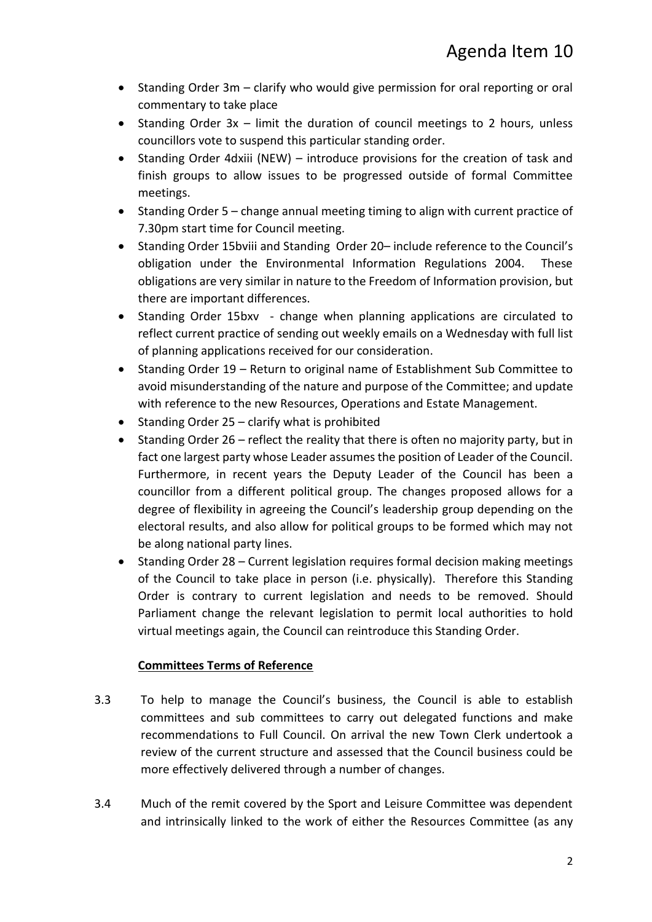- Standing Order 3m clarify who would give permission for oral reporting or oral commentary to take place
- Standing Order 3x limit the duration of council meetings to 2 hours, unless councillors vote to suspend this particular standing order.
- Standing Order 4dxiii (NEW) introduce provisions for the creation of task and finish groups to allow issues to be progressed outside of formal Committee meetings.
- Standing Order 5 change annual meeting timing to align with current practice of 7.30pm start time for Council meeting.
- Standing Order 15bviii and Standing Order 20– include reference to the Council's obligation under the Environmental Information Regulations 2004. These obligations are very similar in nature to the Freedom of Information provision, but there are important differences.
- Standing Order 15bxv change when planning applications are circulated to reflect current practice of sending out weekly emails on a Wednesday with full list of planning applications received for our consideration.
- Standing Order 19 Return to original name of Establishment Sub Committee to avoid misunderstanding of the nature and purpose of the Committee; and update with reference to the new Resources, Operations and Estate Management.
- Standing Order 25 clarify what is prohibited
- Standing Order 26 reflect the reality that there is often no majority party, but in fact one largest party whose Leader assumes the position of Leader of the Council. Furthermore, in recent years the Deputy Leader of the Council has been a councillor from a different political group. The changes proposed allows for a degree of flexibility in agreeing the Council's leadership group depending on the electoral results, and also allow for political groups to be formed which may not be along national party lines.
- Standing Order 28 Current legislation requires formal decision making meetings of the Council to take place in person (i.e. physically). Therefore this Standing Order is contrary to current legislation and needs to be removed. Should Parliament change the relevant legislation to permit local authorities to hold virtual meetings again, the Council can reintroduce this Standing Order.

## **Committees Terms of Reference**

- 3.3 To help to manage the Council's business, the Council is able to establish committees and sub committees to carry out delegated functions and make recommendations to Full Council. On arrival the new Town Clerk undertook a review of the current structure and assessed that the Council business could be more effectively delivered through a number of changes.
- 3.4 Much of the remit covered by the Sport and Leisure Committee was dependent and intrinsically linked to the work of either the Resources Committee (as any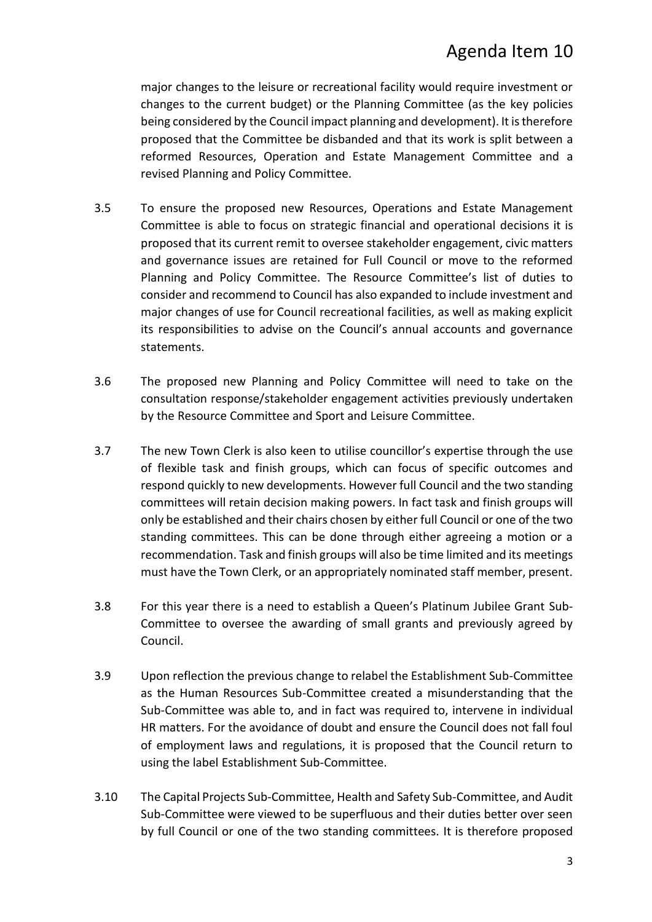# Agenda Item 10

major changes to the leisure or recreational facility would require investment or changes to the current budget) or the Planning Committee (as the key policies being considered by the Council impact planning and development). It is therefore proposed that the Committee be disbanded and that its work is split between a reformed Resources, Operation and Estate Management Committee and a revised Planning and Policy Committee.

- 3.5 To ensure the proposed new Resources, Operations and Estate Management Committee is able to focus on strategic financial and operational decisions it is proposed that its current remit to oversee stakeholder engagement, civic matters and governance issues are retained for Full Council or move to the reformed Planning and Policy Committee. The Resource Committee's list of duties to consider and recommend to Council has also expanded to include investment and major changes of use for Council recreational facilities, as well as making explicit its responsibilities to advise on the Council's annual accounts and governance statements.
- 3.6 The proposed new Planning and Policy Committee will need to take on the consultation response/stakeholder engagement activities previously undertaken by the Resource Committee and Sport and Leisure Committee.
- 3.7 The new Town Clerk is also keen to utilise councillor's expertise through the use of flexible task and finish groups, which can focus of specific outcomes and respond quickly to new developments. However full Council and the two standing committees will retain decision making powers. In fact task and finish groups will only be established and their chairs chosen by either full Council or one of the two standing committees. This can be done through either agreeing a motion or a recommendation. Task and finish groups will also be time limited and its meetings must have the Town Clerk, or an appropriately nominated staff member, present.
- 3.8 For this year there is a need to establish a Queen's Platinum Jubilee Grant Sub-Committee to oversee the awarding of small grants and previously agreed by Council.
- 3.9 Upon reflection the previous change to relabel the Establishment Sub-Committee as the Human Resources Sub-Committee created a misunderstanding that the Sub-Committee was able to, and in fact was required to, intervene in individual HR matters. For the avoidance of doubt and ensure the Council does not fall foul of employment laws and regulations, it is proposed that the Council return to using the label Establishment Sub-Committee.
- 3.10 The Capital Projects Sub-Committee, Health and Safety Sub-Committee, and Audit Sub-Committee were viewed to be superfluous and their duties better over seen by full Council or one of the two standing committees. It is therefore proposed